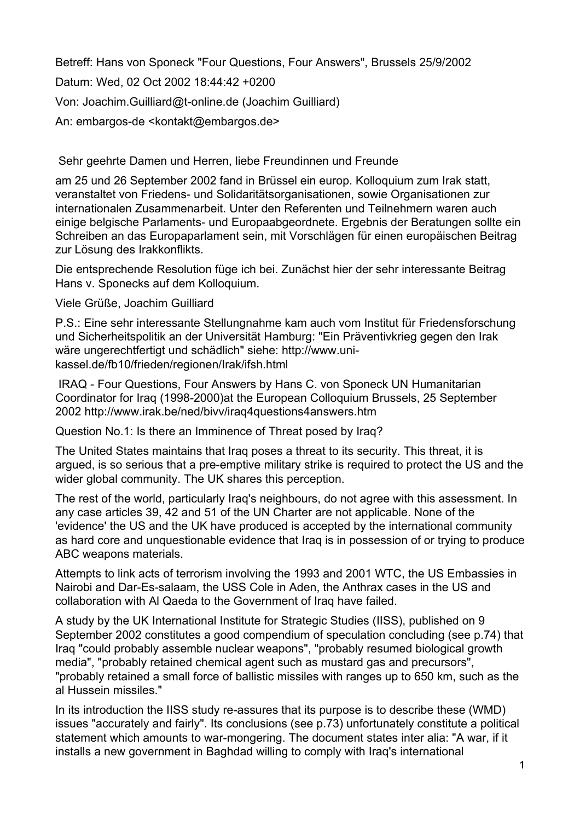Betreff: Hans von Sponeck "Four Questions, Four Answers", Brussels 25/9/2002 Datum: Wed, 02 Oct 2002 18:44:42 +0200 Von: Joachim.Guilliard@t-online.de (Joachim Guilliard) An: embargos-de <kontakt@embargos.de>

Sehr geehrte Damen und Herren, liebe Freundinnen und Freunde

am 25 und 26 September 2002 fand in Brüssel ein europ. Kolloquium zum Irak statt, veranstaltet von Friedens- und Solidaritätsorganisationen, sowie Organisationen zur internationalen Zusammenarbeit. Unter den Referenten und Teilnehmern waren auch einige belgische Parlaments- und Europaabgeordnete. Ergebnis der Beratungen sollte ein Schreiben an das Europaparlament sein, mit Vorschlägen für einen europäischen Beitrag zur Lösung des Irakkonflikts.

Die entsprechende Resolution füge ich bei. Zunächst hier der sehr interessante Beitrag Hans v. Sponecks auf dem Kolloquium.

Viele Grüße, Joachim Guilliard

P.S.: Eine sehr interessante Stellungnahme kam auch vom Institut für Friedensforschung und Sicherheitspolitik an der Universität Hamburg: "Ein Präventivkrieg gegen den Irak wäre ungerechtfertigt und schädlich" siehe: http://www.unikassel.de/fb10/frieden/regionen/Irak/ifsh.html

 IRAQ - Four Questions, Four Answers by Hans C. von Sponeck UN Humanitarian Coordinator for Iraq (1998-2000)at the European Colloquium Brussels, 25 September 2002 http://www.irak.be/ned/bivv/iraq4questions4answers.htm

Question No.1: Is there an Imminence of Threat posed by Iraq?

The United States maintains that Iraq poses a threat to its security. This threat, it is argued, is so serious that a pre-emptive military strike is required to protect the US and the wider global community. The UK shares this perception.

The rest of the world, particularly Iraq's neighbours, do not agree with this assessment. In any case articles 39, 42 and 51 of the UN Charter are not applicable. None of the 'evidence' the US and the UK have produced is accepted by the international community as hard core and unquestionable evidence that Iraq is in possession of or trying to produce ABC weapons materials.

Attempts to link acts of terrorism involving the 1993 and 2001 WTC, the US Embassies in Nairobi and Dar-Es-salaam, the USS Cole in Aden, the Anthrax cases in the US and collaboration with Al Qaeda to the Government of Iraq have failed.

A study by the UK International Institute for Strategic Studies (IISS), published on 9 September 2002 constitutes a good compendium of speculation concluding (see p.74) that Iraq "could probably assemble nuclear weapons", "probably resumed biological growth media", "probably retained chemical agent such as mustard gas and precursors", "probably retained a small force of ballistic missiles with ranges up to 650 km, such as the al Hussein missiles."

In its introduction the IISS study re-assures that its purpose is to describe these (WMD) issues "accurately and fairly". Its conclusions (see p.73) unfortunately constitute a political statement which amounts to war-mongering. The document states inter alia: "A war, if it installs a new government in Baghdad willing to comply with Iraq's international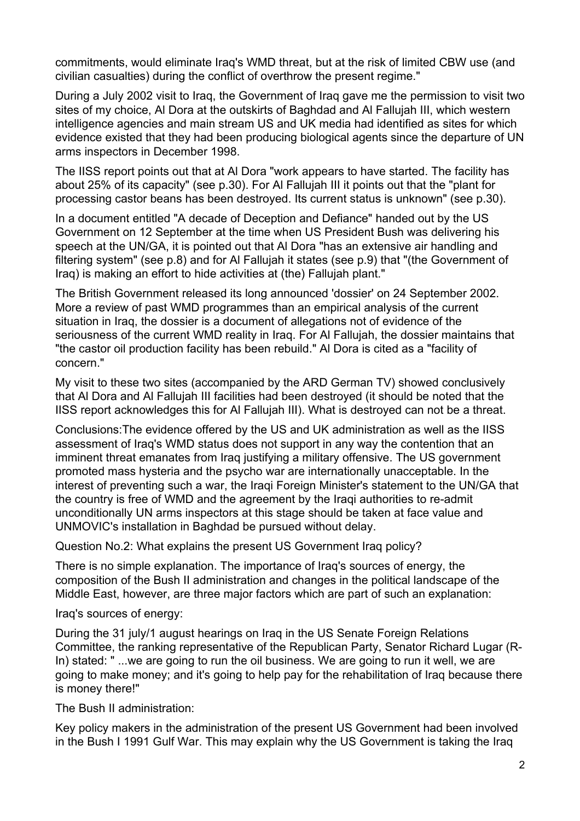commitments, would eliminate Iraq's WMD threat, but at the risk of limited CBW use (and civilian casualties) during the conflict of overthrow the present regime."

During a July 2002 visit to Iraq, the Government of Iraq gave me the permission to visit two sites of my choice, Al Dora at the outskirts of Baghdad and Al Fallujah III, which western intelligence agencies and main stream US and UK media had identified as sites for which evidence existed that they had been producing biological agents since the departure of UN arms inspectors in December 1998.

The IISS report points out that at Al Dora "work appears to have started. The facility has about 25% of its capacity" (see p.30). For Al Fallujah III it points out that the "plant for processing castor beans has been destroyed. Its current status is unknown" (see p.30).

In a document entitled "A decade of Deception and Defiance" handed out by the US Government on 12 September at the time when US President Bush was delivering his speech at the UN/GA, it is pointed out that Al Dora "has an extensive air handling and filtering system" (see p.8) and for Al Fallujah it states (see p.9) that "(the Government of Iraq) is making an effort to hide activities at (the) Fallujah plant."

The British Government released its long announced 'dossier' on 24 September 2002. More a review of past WMD programmes than an empirical analysis of the current situation in Iraq, the dossier is a document of allegations not of evidence of the seriousness of the current WMD reality in Iraq. For Al Fallujah, the dossier maintains that "the castor oil production facility has been rebuild." Al Dora is cited as a "facility of concern."

My visit to these two sites (accompanied by the ARD German TV) showed conclusively that Al Dora and Al Fallujah III facilities had been destroyed (it should be noted that the IISS report acknowledges this for Al Fallujah III). What is destroyed can not be a threat.

Conclusions:The evidence offered by the US and UK administration as well as the IISS assessment of Iraq's WMD status does not support in any way the contention that an imminent threat emanates from Iraq justifying a military offensive. The US government promoted mass hysteria and the psycho war are internationally unacceptable. In the interest of preventing such a war, the Iraqi Foreign Minister's statement to the UN/GA that the country is free of WMD and the agreement by the Iraqi authorities to re-admit unconditionally UN arms inspectors at this stage should be taken at face value and UNMOVIC's installation in Baghdad be pursued without delay.

Question No.2: What explains the present US Government Iraq policy?

There is no simple explanation. The importance of Iraq's sources of energy, the composition of the Bush II administration and changes in the political landscape of the Middle East, however, are three major factors which are part of such an explanation:

Iraq's sources of energy:

During the 31 july/1 august hearings on Iraq in the US Senate Foreign Relations Committee, the ranking representative of the Republican Party, Senator Richard Lugar (R-In) stated: " ...we are going to run the oil business. We are going to run it well, we are going to make money; and it's going to help pay for the rehabilitation of Iraq because there is money there!"

The Bush II administration:

Key policy makers in the administration of the present US Government had been involved in the Bush I 1991 Gulf War. This may explain why the US Government is taking the Iraq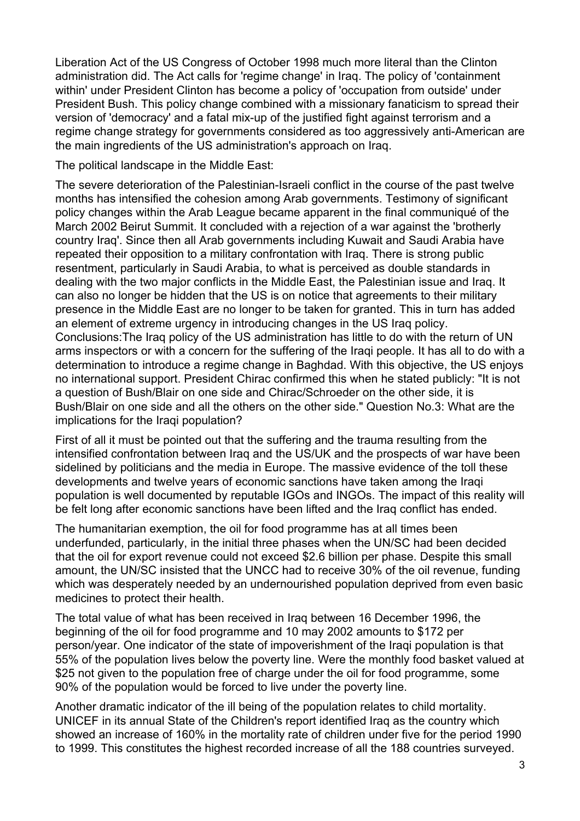Liberation Act of the US Congress of October 1998 much more literal than the Clinton administration did. The Act calls for 'regime change' in Iraq. The policy of 'containment within' under President Clinton has become a policy of 'occupation from outside' under President Bush. This policy change combined with a missionary fanaticism to spread their version of 'democracy' and a fatal mix-up of the justified fight against terrorism and a regime change strategy for governments considered as too aggressively anti-American are the main ingredients of the US administration's approach on Iraq.

The political landscape in the Middle East:

The severe deterioration of the Palestinian-Israeli conflict in the course of the past twelve months has intensified the cohesion among Arab governments. Testimony of significant policy changes within the Arab League became apparent in the final communiqué of the March 2002 Beirut Summit. It concluded with a rejection of a war against the 'brotherly country Iraq'. Since then all Arab governments including Kuwait and Saudi Arabia have repeated their opposition to a military confrontation with Iraq. There is strong public resentment, particularly in Saudi Arabia, to what is perceived as double standards in dealing with the two major conflicts in the Middle East, the Palestinian issue and Iraq. It can also no longer be hidden that the US is on notice that agreements to their military presence in the Middle East are no longer to be taken for granted. This in turn has added an element of extreme urgency in introducing changes in the US Iraq policy. Conclusions:The Iraq policy of the US administration has little to do with the return of UN arms inspectors or with a concern for the suffering of the Iraqi people. It has all to do with a determination to introduce a regime change in Baghdad. With this objective, the US enjoys no international support. President Chirac confirmed this when he stated publicly: "It is not a question of Bush/Blair on one side and Chirac/Schroeder on the other side, it is Bush/Blair on one side and all the others on the other side." Question No.3: What are the implications for the Iraqi population?

First of all it must be pointed out that the suffering and the trauma resulting from the intensified confrontation between Iraq and the US/UK and the prospects of war have been sidelined by politicians and the media in Europe. The massive evidence of the toll these developments and twelve years of economic sanctions have taken among the Iraqi population is well documented by reputable IGOs and INGOs. The impact of this reality will be felt long after economic sanctions have been lifted and the Iraq conflict has ended.

The humanitarian exemption, the oil for food programme has at all times been underfunded, particularly, in the initial three phases when the UN/SC had been decided that the oil for export revenue could not exceed \$2.6 billion per phase. Despite this small amount, the UN/SC insisted that the UNCC had to receive 30% of the oil revenue, funding which was desperately needed by an undernourished population deprived from even basic medicines to protect their health.

The total value of what has been received in Iraq between 16 December 1996, the beginning of the oil for food programme and 10 may 2002 amounts to \$172 per person/year. One indicator of the state of impoverishment of the Iraqi population is that 55% of the population lives below the poverty line. Were the monthly food basket valued at \$25 not given to the population free of charge under the oil for food programme, some 90% of the population would be forced to live under the poverty line.

Another dramatic indicator of the ill being of the population relates to child mortality. UNICEF in its annual State of the Children's report identified Iraq as the country which showed an increase of 160% in the mortality rate of children under five for the period 1990 to 1999. This constitutes the highest recorded increase of all the 188 countries surveyed.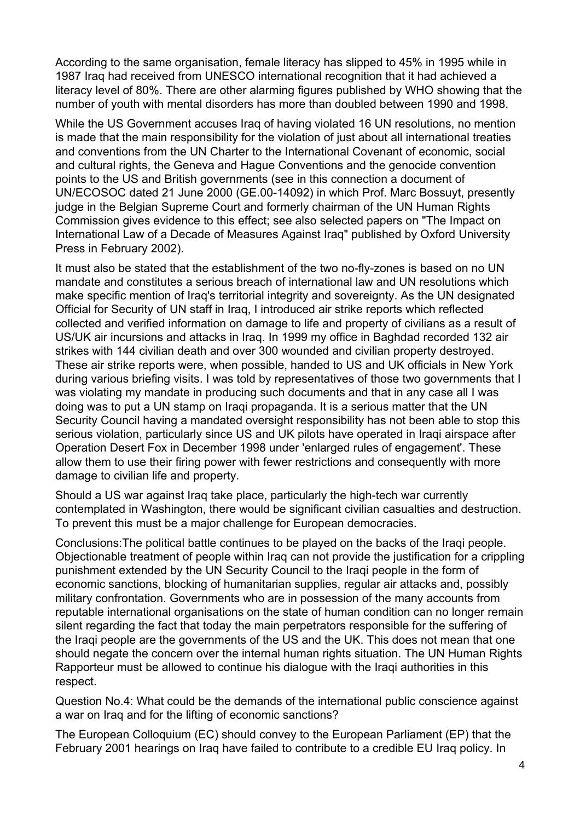According to the same organisation, female literacy has slipped to 45% in 1995 while in 1987 Iraq had received from UNESCO international recognition that it had achieved a literacy level of 80%. There are other alarming figures published by WHO showing that the number of youth with mental disorders has more than doubled between 1990 and 1998.

While the US Government accuses Iraq of having violated 16 UN resolutions, no mention is made that the main responsibility for the violation of just about all international treaties and conventions from the UN Charter to the International Covenant of economic, social and cultural rights, the Geneva and Hague Conventions and the genocide convention points to the US and British governments (see in this connection a document of UN/ECOSOC dated 21 June 2000 (GE.00-14092) in which Prof. Marc Bossuyt, presently judge in the Belgian Supreme Court and formerly chairman of the UN Human Rights Commission gives evidence to this effect; see also selected papers on "The Impact on International Law of a Decade of Measures Against Iraq" published by Oxford University Press in February 2002).

It must also be stated that the establishment of the two no-fly-zones is based on no UN mandate and constitutes a serious breach of international law and UN resolutions which make specific mention of Iraq's territorial integrity and sovereignty. As the UN designated Official for Security of UN staff in Iraq, I introduced air strike reports which reflected collected and verified information on damage to life and property of civilians as a result of US/UK air incursions and attacks in Iraq. In 1999 my office in Baghdad recorded 132 air strikes with 144 civilian death and over 300 wounded and civilian property destroyed. These air strike reports were, when possible, handed to US and UK officials in New York during various briefing visits. I was told by representatives of those two governments that I was violating my mandate in producing such documents and that in any case all I was doing was to put a UN stamp on Iraqi propaganda. It is a serious matter that the UN Security Council having a mandated oversight responsibility has not been able to stop this serious violation, particularly since US and UK pilots have operated in Iraqi airspace after Operation Desert Fox in December 1998 under 'enlarged rules of engagement'. These allow them to use their firing power with fewer restrictions and consequently with more damage to civilian life and property.

Should a US war against Iraq take place, particularly the high-tech war currently contemplated in Washington, there would be significant civilian casualties and destruction. To prevent this must be a major challenge for European democracies.

Conclusions:The political battle continues to be played on the backs of the Iraqi people. Objectionable treatment of people within Iraq can not provide the justification for a crippling punishment extended by the UN Security Council to the Iraqi people in the form of economic sanctions, blocking of humanitarian supplies, regular air attacks and, possibly military confrontation. Governments who are in possession of the many accounts from reputable international organisations on the state of human condition can no longer remain silent regarding the fact that today the main perpetrators responsible for the suffering of the Iraqi people are the governments of the US and the UK. This does not mean that one should negate the concern over the internal human rights situation. The UN Human Rights Rapporteur must be allowed to continue his dialogue with the Iraqi authorities in this respect.

Question No.4: What could be the demands of the international public conscience against a war on Iraq and for the lifting of economic sanctions?

The European Colloquium (EC) should convey to the European Parliament (EP) that the February 2001 hearings on Iraq have failed to contribute to a credible EU Iraq policy. In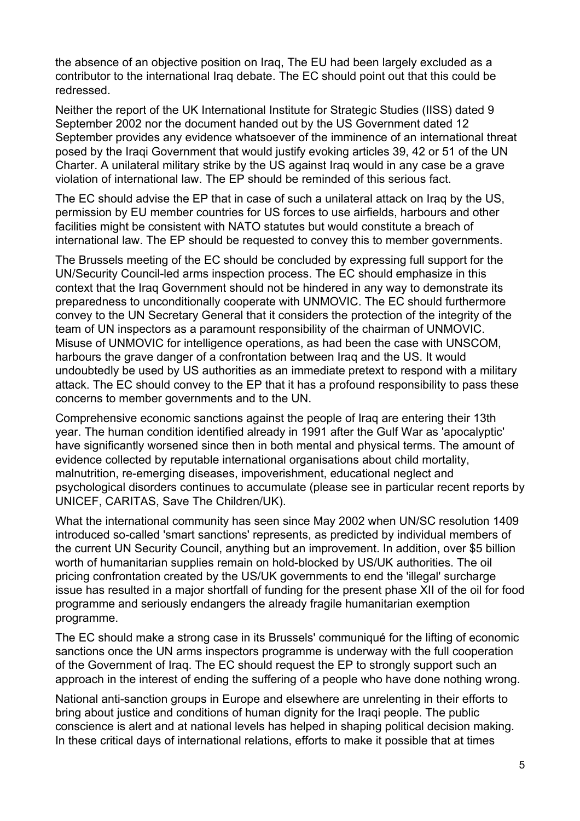the absence of an objective position on Iraq, The EU had been largely excluded as a contributor to the international Iraq debate. The EC should point out that this could be redressed.

Neither the report of the UK International Institute for Strategic Studies (IISS) dated 9 September 2002 nor the document handed out by the US Government dated 12 September provides any evidence whatsoever of the imminence of an international threat posed by the Iraqi Government that would justify evoking articles 39, 42 or 51 of the UN Charter. A unilateral military strike by the US against Iraq would in any case be a grave violation of international law. The EP should be reminded of this serious fact.

The EC should advise the EP that in case of such a unilateral attack on Iraq by the US, permission by EU member countries for US forces to use airfields, harbours and other facilities might be consistent with NATO statutes but would constitute a breach of international law. The EP should be requested to convey this to member governments.

The Brussels meeting of the EC should be concluded by expressing full support for the UN/Security Council-led arms inspection process. The EC should emphasize in this context that the Iraq Government should not be hindered in any way to demonstrate its preparedness to unconditionally cooperate with UNMOVIC. The EC should furthermore convey to the UN Secretary General that it considers the protection of the integrity of the team of UN inspectors as a paramount responsibility of the chairman of UNMOVIC. Misuse of UNMOVIC for intelligence operations, as had been the case with UNSCOM, harbours the grave danger of a confrontation between Iraq and the US. It would undoubtedly be used by US authorities as an immediate pretext to respond with a military attack. The EC should convey to the EP that it has a profound responsibility to pass these concerns to member governments and to the UN.

Comprehensive economic sanctions against the people of Iraq are entering their 13th year. The human condition identified already in 1991 after the Gulf War as 'apocalyptic' have significantly worsened since then in both mental and physical terms. The amount of evidence collected by reputable international organisations about child mortality, malnutrition, re-emerging diseases, impoverishment, educational neglect and psychological disorders continues to accumulate (please see in particular recent reports by UNICEF, CARITAS, Save The Children/UK).

What the international community has seen since May 2002 when UN/SC resolution 1409 introduced so-called 'smart sanctions' represents, as predicted by individual members of the current UN Security Council, anything but an improvement. In addition, over \$5 billion worth of humanitarian supplies remain on hold-blocked by US/UK authorities. The oil pricing confrontation created by the US/UK governments to end the 'illegal' surcharge issue has resulted in a major shortfall of funding for the present phase XII of the oil for food programme and seriously endangers the already fragile humanitarian exemption programme.

The EC should make a strong case in its Brussels' communiqué for the lifting of economic sanctions once the UN arms inspectors programme is underway with the full cooperation of the Government of Iraq. The EC should request the EP to strongly support such an approach in the interest of ending the suffering of a people who have done nothing wrong.

National anti-sanction groups in Europe and elsewhere are unrelenting in their efforts to bring about justice and conditions of human dignity for the Iraqi people. The public conscience is alert and at national levels has helped in shaping political decision making. In these critical days of international relations, efforts to make it possible that at times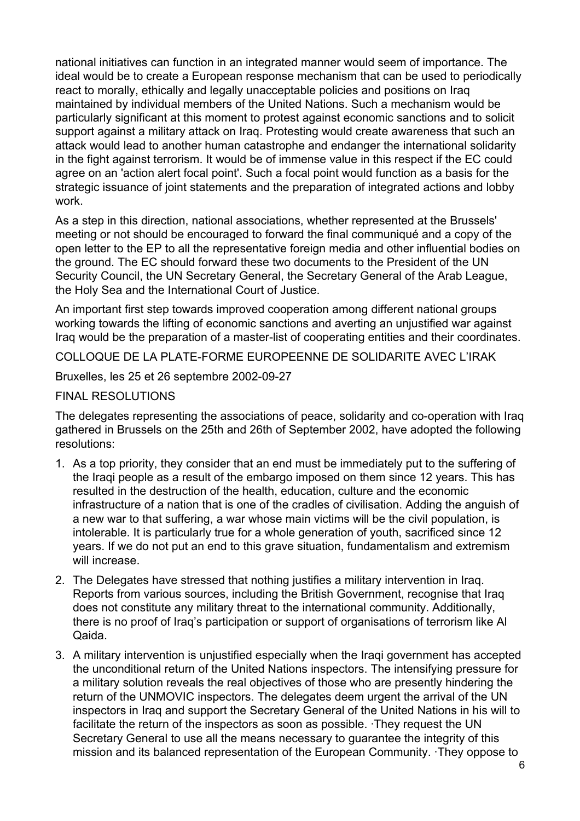national initiatives can function in an integrated manner would seem of importance. The ideal would be to create a European response mechanism that can be used to periodically react to morally, ethically and legally unacceptable policies and positions on Iraq maintained by individual members of the United Nations. Such a mechanism would be particularly significant at this moment to protest against economic sanctions and to solicit support against a military attack on Iraq. Protesting would create awareness that such an attack would lead to another human catastrophe and endanger the international solidarity in the fight against terrorism. It would be of immense value in this respect if the EC could agree on an 'action alert focal point'. Such a focal point would function as a basis for the strategic issuance of joint statements and the preparation of integrated actions and lobby work.

As a step in this direction, national associations, whether represented at the Brussels' meeting or not should be encouraged to forward the final communiqué and a copy of the open letter to the EP to all the representative foreign media and other influential bodies on the ground. The EC should forward these two documents to the President of the UN Security Council, the UN Secretary General, the Secretary General of the Arab League, the Holy Sea and the International Court of Justice.

An important first step towards improved cooperation among different national groups working towards the lifting of economic sanctions and averting an unjustified war against Iraq would be the preparation of a master-list of cooperating entities and their coordinates.

COLLOQUE DE LA PLATE-FORME EUROPEENNE DE SOLIDARITE AVEC LíIRAK

Bruxelles, les 25 et 26 septembre 2002-09-27

## FINAL RESOLUTIONS

The delegates representing the associations of peace, solidarity and co-operation with Iraq gathered in Brussels on the 25th and 26th of September 2002, have adopted the following resolutions:

- 1. As a top priority, they consider that an end must be immediately put to the suffering of the Iraqi people as a result of the embargo imposed on them since 12 years. This has resulted in the destruction of the health, education, culture and the economic infrastructure of a nation that is one of the cradles of civilisation. Adding the anguish of a new war to that suffering, a war whose main victims will be the civil population, is intolerable. It is particularly true for a whole generation of youth, sacrificed since 12 years. If we do not put an end to this grave situation, fundamentalism and extremism will increase.
- 2. The Delegates have stressed that nothing justifies a military intervention in Iraq. Reports from various sources, including the British Government, recognise that Iraq does not constitute any military threat to the international community. Additionally, there is no proof of Iraqís participation or support of organisations of terrorism like Al Qaida.
- 3. A military intervention is unjustified especially when the Iraqi government has accepted the unconditional return of the United Nations inspectors. The intensifying pressure for a military solution reveals the real objectives of those who are presently hindering the return of the UNMOVIC inspectors. The delegates deem urgent the arrival of the UN inspectors in Iraq and support the Secretary General of the United Nations in his will to facilitate the return of the inspectors as soon as possible. ·They request the UN Secretary General to use all the means necessary to quarantee the integrity of this mission and its balanced representation of the European Community. ·They oppose to